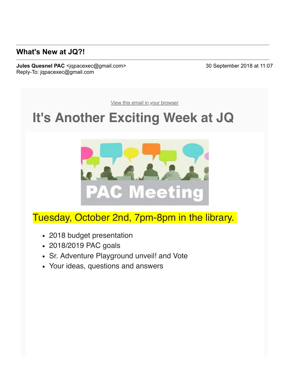### **What's New at JQ?!**

**Jules Quesnel PAC** <jqpacexec@gmail.com> 30 September 2018 at 11:07 Reply-To: jqpacexec@gmail.com

[View this email in your browser](https://mailchi.mp/0c5c532b6fde/whats-new-at-jq?e=a76be064ee)

# **It's Another Exciting Week at JQ**



## Tuesday, October 2nd, 7pm-8pm in the library.

- 2018 budget presentation
- 2018/2019 PAC goals
- Sr. Adventure Playground unveil! and Vote
- Your ideas, questions and answers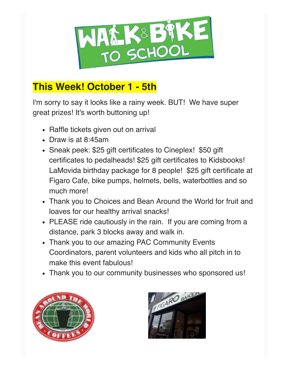

## **This Week! October 1 - 5th**

I'm sorry to say it looks like a rainy week. BUT! We have super great prizes! It's worth buttoning up!

- Raffle tickets given out on arrival
- Draw is at 8:45am
- Sneak peek: \$25 gift certificates to Cineplex! \$50 gift certificates to pedalheads! \$25 gift certificates to Kidsbooks! LaMovida birthday package for 8 people! \$25 gift certificate at Figaro Cafe, bike pumps, helmets, bells, waterbottles and so much more!
- Thank you to Choices and Bean Around the World for fruit and loaves for our healthy arrival snacks!
- PLEASE ride cautiously in the rain. If you are coming from a distance, park 3 blocks away and walk in.
- Thank you to our amazing PAC Community Events Coordinators, parent volunteers and kids who all pitch in to make this event fabulous!
- Thank you to our community businesses who sponsored us!



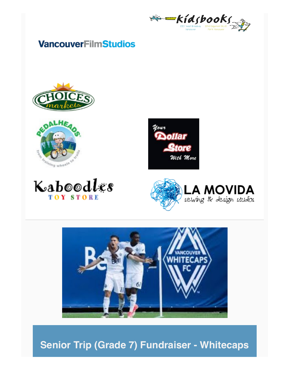

## **VancouverFilmStudios**













**Senior Trip (Grade 7) Fundraiser - Whitecaps**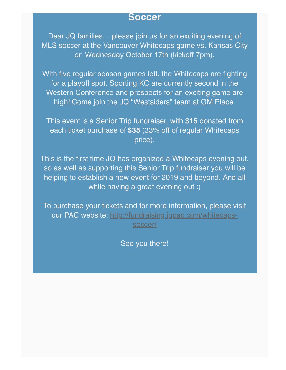#### **Soccer**

Dear JQ families… please join us for an exciting evening of MLS soccer at the Vancouver Whitecaps game vs. Kansas City on Wednesday October 17th (kickoff 7pm).

With five regular season games left, the Whitecaps are fighting for a playoff spot. Sporting KC are currently second in the Western Conference and prospects for an exciting game are high! Come join the JQ "Westsiders" team at GM Place.

This event is a Senior Trip fundraiser, with **\$15** donated from each ticket purchase of **\$35** (33% off of regular Whitecaps price).

This is the first time JQ has organized a Whitecaps evening out, so as well as supporting this Senior Trip fundraiser you will be helping to establish a new event for 2019 and beyond. And all while having a great evening out :)

To purchase your tickets and for more information, please visit our PAC website: [http://fundraising.jqpac.com/whitecaps](https://julesquesnelpac.us3.list-manage.com/track/click?u=a8e7c9494cc165c2c2cca7d75&id=a2a8922415&e=a76be064ee)soccer/

See you there!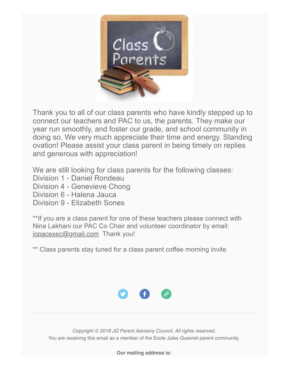

Thank you to all of our class parents who have kindly stepped up to connect our teachers and PAC to us, the parents. They make our year run smoothly, and foster our grade, and school community in doing so. We very much appreciate their time and energy. Standing ovation! Please assist your class parent in being timely on replies and generous with appreciation!

We are still looking for class parents for the following classes:

- Division 1 Daniel Rondeau
- Division 4 Genevieve Chong
- Division 6 Halena Jauca
- Division 9 Elizabeth Sones

\*\*If you are a class parent for one of these teachers please connect with Nina Lakhani our PAC Co Chair and volunteer coordinator by email: [jqpacexec@gmail.com](https://julesquesnelpac.us3.list-manage.com/track/click?u=a8e7c9494cc165c2c2cca7d75&id=012870b10f&e=a76be064ee) Thank you!

\*\* Class parents stay tuned for a class parent coffee morning invite



*Copyright © 2018 JQ Parent Advisory Council, All rights reserved.* You are receiving this email as a member of the Ecole Jules Quesnel parent community.

**Our mailing address is:**